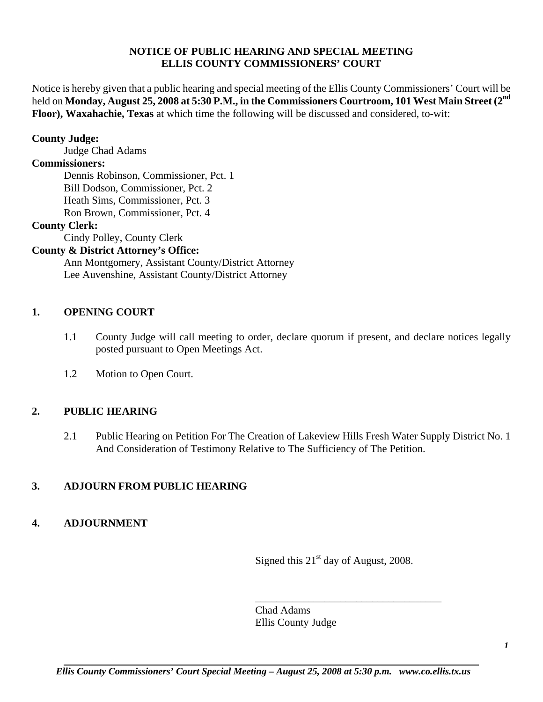### **NOTICE OF PUBLIC HEARING AND SPECIAL MEETING ELLIS COUNTY COMMISSIONERS' COURT**

Notice is hereby given that a public hearing and special meeting of the Ellis County Commissioners' Court will be held on **Monday, August 25, 2008 at 5:30 P.M., in the Commissioners Courtroom, 101 West Main Street (2<sup>nd</sup>) Floor), Waxahachie, Texas** at which time the following will be discussed and considered, to-wit:

### **County Judge:**

Judge Chad Adams

### **Commissioners:**

 Dennis Robinson, Commissioner, Pct. 1 Bill Dodson, Commissioner, Pct. 2 Heath Sims, Commissioner, Pct. 3 Ron Brown, Commissioner, Pct. 4

### **County Clerk:**

Cindy Polley, County Clerk

### **County & District Attorney's Office:**

 Ann Montgomery, Assistant County/District Attorney Lee Auvenshine, Assistant County/District Attorney

### **1. OPENING COURT**

- 1.1 County Judge will call meeting to order, declare quorum if present, and declare notices legally posted pursuant to Open Meetings Act.
- 1.2 Motion to Open Court.

# **2. PUBLIC HEARING**

 2.1 Public Hearing on Petition For The Creation of Lakeview Hills Fresh Water Supply District No. 1 And Consideration of Testimony Relative to The Sufficiency of The Petition.

# **3. ADJOURN FROM PUBLIC HEARING**

# **4. ADJOURNMENT**

Signed this  $21<sup>st</sup>$  day of August, 2008.

\_\_\_\_\_\_\_\_\_\_\_\_\_\_\_\_\_\_\_\_\_\_\_\_\_\_\_\_\_\_\_\_\_\_\_

Chad Adams Ellis County Judge